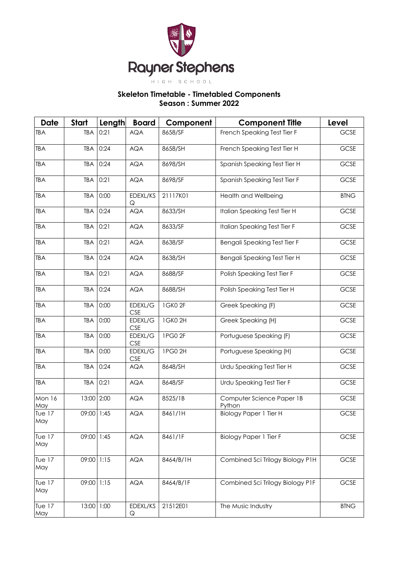

## **Skeleton Timetable - Timetabled Components Season : Summer 2022**

| <b>Date</b>          | <b>Start</b> | Length | <b>Board</b>          | Component | <b>Component Title</b>              | Level       |
|----------------------|--------------|--------|-----------------------|-----------|-------------------------------------|-------------|
| <b>TBA</b>           | <b>TBA</b>   | 0:21   | <b>AQA</b>            | 8658/SF   | French Speaking Test Tier F         | GCSE        |
| <b>TBA</b>           | <b>TBA</b>   | 0:24   | <b>AQA</b>            | 8658/SH   | French Speaking Test Tier H         | GCSE        |
| <b>TBA</b>           | <b>TBA</b>   | 0:24   | <b>AQA</b>            | 8698/SH   | Spanish Speaking Test Tier H        | GCSE        |
| <b>TBA</b>           | <b>TBA</b>   | 0:21   | <b>AQA</b>            | 8698/SF   | Spanish Speaking Test Tier F        | GCSE        |
| <b>TBA</b>           | <b>TBA</b>   | 0:00   | EDEXL/KS<br>Q         | 21117K01  | Health and Wellbeing                | <b>BTNG</b> |
| <b>TBA</b>           | <b>TBA</b>   | 0:24   | <b>AQA</b>            | 8633/SH   | Italian Speaking Test Tier H        | GCSE        |
| <b>TBA</b>           | <b>TBA</b>   | 0:21   | <b>AQA</b>            | 8633/SF   | Italian Speaking Test Tier F        | GCSE        |
| TBA                  | <b>TBA</b>   | 0:21   | <b>AQA</b>            | 8638/SF   | Bengali Speaking Test Tier F        | GCSE        |
| <b>TBA</b>           | <b>TBA</b>   | 0:24   | <b>AQA</b>            | 8638/SH   | Bengali Speaking Test Tier H        | GCSE        |
| <b>TBA</b>           | <b>TBA</b>   | 0:21   | <b>AQA</b>            | 8688/SF   | Polish Speaking Test Tier F         | GCSE        |
| <b>TBA</b>           | <b>TBA</b>   | 0:24   | <b>AQA</b>            | 8688/SH   | Polish Speaking Test Tier H         | GCSE        |
| <b>TBA</b>           | <b>TBA</b>   | 0:00   | EDEXL/G<br><b>CSE</b> | 1GK02F    | Greek Speaking (F)                  | GCSE        |
| <b>TBA</b>           | <b>TBA</b>   | 0:00   | EDEXL/G<br><b>CSE</b> | 1GK02H    | Greek Speaking (H)                  | <b>GCSE</b> |
| <b>TBA</b>           | <b>TBA</b>   | 0:00   | EDEXL/G<br><b>CSE</b> | 1PG0 2F   | Portuguese Speaking (F)             | GCSE        |
| <b>TBA</b>           | <b>TBA</b>   | 0:00   | EDEXL/G<br><b>CSE</b> | 1PG0 2H   | Portuguese Speaking (H)             | GCSE        |
| <b>TBA</b>           | TBA          | 0:24   | <b>AQA</b>            | 8648/SH   | Urdu Speaking Test Tier H           | GCSE        |
| <b>TBA</b>           | <b>TBA</b>   | 0:21   | <b>AQA</b>            | 8648/SF   | Urdu Speaking Test Tier F           | GCSE        |
| <b>Mon 16</b><br>May | 13:00 2:00   |        | <b>AQA</b>            | 8525/1B   | Computer Science Paper 1B<br>Python | GCSE        |
| <b>Tue 17</b><br>May | 09:00 1:45   |        | <b>AQA</b>            | 8461/1H   | <b>Biology Paper 1 Tier H</b>       | GCSE        |
| T∪e 17<br>May        | 09:00        | 1:45   | AQA                   | 8461/1F   | <b>Biology Paper 1 Tier F</b>       | GCSE        |
| Tue $17$<br>May      | 09:00        | 1:15   | <b>AQA</b>            | 8464/B/1H | Combined Sci Trilogy Biology P1H    | GCSE        |
| Tue $17$<br>May      | 09:00        | 1:15   | AQA                   | 8464/B/1F | Combined Sci Trilogy Biology P1F    | GCSE        |
| Tue $17$<br>May      | 13:00        | 1:00   | EDEXL/KS<br>Q         | 21512E01  | The Music Industry                  | <b>BTNG</b> |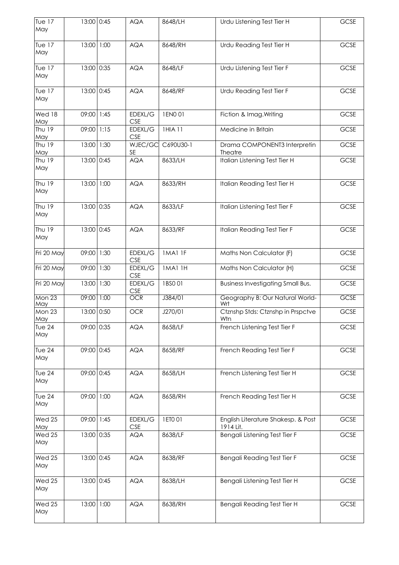| T∪e 17<br>May        | 13:00 0:45 |      | <b>AQA</b>            | 8648/LH   | Urdu Listening Test Tier H                      | GCSE |
|----------------------|------------|------|-----------------------|-----------|-------------------------------------------------|------|
| T∪e 17<br>May        | 13:00 1:00 |      | <b>AQA</b>            | 8648/RH   | Urdu Reading Test Tier H                        | GCSE |
| <b>Tue 17</b><br>May | 13:00 0:35 |      | <b>AQA</b>            | 8648/LF   | Urdu Listening Test Tier F                      | GCSE |
| <b>Tue 17</b><br>May | 13:00 0:45 |      | <b>AQA</b>            | 8648/RF   | Urdu Reading Test Tier F                        | GCSE |
| Wed 18<br>May        | 09:00 1:45 |      | EDEXL/G<br><b>CSE</b> | 1EN001    | Fiction & Imag. Writing                         | GCSE |
| Thu 19<br>May        | 09:00      | 1:15 | EDEXL/G<br><b>CSE</b> | 1HIA 11   | Medicine in Britain                             | GCSE |
| Thu 19<br>May        | 13:00      | 1:30 | WJEC/GC<br><b>SE</b>  | C690U30-1 | Drama COMPONENT3 Interpretin<br>Theatre         | GCSE |
| Thu 19<br>May        | 13:00 0:45 |      | <b>AQA</b>            | 8633/LH   | Italian Listening Test Tier H                   | GCSE |
| Thu 19<br>May        | 13:00 1:00 |      | <b>AQA</b>            | 8633/RH   | Italian Reading Test Tier H                     | GCSE |
| Thu 19<br>May        | 13:00 0:35 |      | <b>AQA</b>            | 8633/LF   | Italian Listening Test Tier F                   | GCSE |
| Thu 19<br>May        | 13:00 0:45 |      | <b>AQA</b>            | 8633/RF   | Italian Reading Test Tier F                     | GCSE |
| Fri 20 May           | 09:00      | 1:30 | EDEXL/G<br><b>CSE</b> | IMAI IF   | Maths Non Calculator (F)                        | GCSE |
| Fri 20 May           | 09:00      | 1:30 | EDEXL/G<br><b>CSE</b> | IMAI IH   | Maths Non Calculator (H)                        | GCSE |
| Fri 20 May           | 13:00      | 1:30 | EDEXL/G<br><b>CSE</b> | 1BSO 01   | <b>Business Investigating Small Bus.</b>        | GCSE |
| <b>Mon 23</b><br>May | 09:00 1:00 |      | <b>OCR</b>            | J384/01   | Geography B: Our Natural World-<br>Wrt          | GCSE |
| Mon 23<br>May        | 13:00 0:50 |      | <b>OCR</b>            | J270/01   | Ctznshp Stds: Ctznshp in Prspctve<br>Wtn        | GCSE |
| Tue $24$<br>May      | 09:00 0:35 |      | <b>AQA</b>            | 8658/LF   | French Listening Test Tier F                    | GCSE |
| Tue $24$<br>May      | 09:00 0:45 |      | <b>AQA</b>            | 8658/RF   | French Reading Test Tier F                      | GCSE |
| Tue $24$<br>May      | 09:00 0:45 |      | <b>AQA</b>            | 8658/LH   | French Listening Test Tier H                    | GCSE |
| Tue $24$<br>May      | 09:00 1:00 |      | <b>AQA</b>            | 8658/RH   | French Reading Test Tier H                      | GCSE |
| Wed 25<br>May        | 09:00 1:45 |      | EDEXL/G<br><b>CSE</b> | 1ETO 01   | English Literature Shakesp. & Post<br>1914 Lit. | GCSE |
| Wed 25<br>May        | 13:00 0:35 |      | <b>AQA</b>            | 8638/LF   | Bengali Listening Test Tier F                   | GCSE |
| Wed 25<br>May        | 13:00 0:45 |      | <b>AQA</b>            | 8638/RF   | Bengali Reading Test Tier F                     | GCSE |
| Wed 25<br>May        | 13:00 0:45 |      | <b>AQA</b>            | 8638/LH   | Bengali Listening Test Tier H                   | GCSE |
| Wed 25<br>May        | 13:00 1:00 |      | <b>AQA</b>            | 8638/RH   | Bengali Reading Test Tier H                     | GCSE |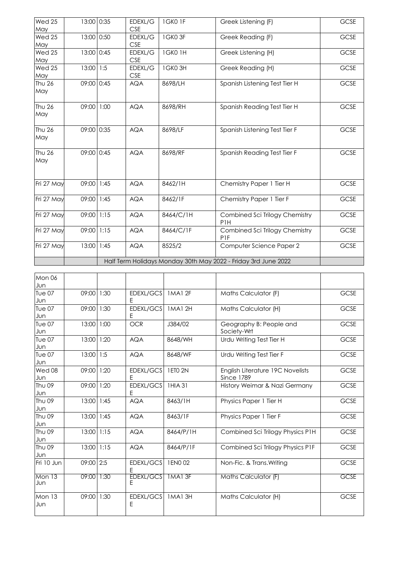| Wed 25<br>May | 13:00 0:35 | EDEXL/G<br><b>CSE</b> | 1GK01F    | Greek Listening (F)                                            | <b>GCSE</b> |
|---------------|------------|-----------------------|-----------|----------------------------------------------------------------|-------------|
| Wed 25<br>May | 13:00 0:50 | EDEXL/G<br><b>CSE</b> | 1GK03F    | Greek Reading (F)                                              | GCSE        |
| Wed 25<br>May | 13:00 0:45 | EDEXL/G<br><b>CSE</b> | 1GK01H    | Greek Listening (H)                                            | GCSE        |
| Wed 25<br>May | 13:00 1:5  | EDEXL/G<br><b>CSE</b> | 1GK03H    | Greek Reading (H)                                              | GCSE        |
| Thu 26<br>May | 09:00 0:45 | <b>AQA</b>            | 8698/LH   | Spanish Listening Test Tier H                                  | GCSE        |
| Thu 26<br>May | 09:00 1:00 | <b>AQA</b>            | 8698/RH   | Spanish Reading Test Tier H                                    | GCSE        |
| Thu 26<br>May | 09:00 0:35 | <b>AQA</b>            | 8698/LF   | Spanish Listening Test Tier F                                  | GCSE        |
| Thu 26<br>May | 09:00 0:45 | <b>AQA</b>            | 8698/RF   | Spanish Reading Test Tier F                                    | GCSE        |
| Fri 27 May    | 09:00 1:45 | <b>AQA</b>            | 8462/1H   | Chemistry Paper 1 Tier H                                       | GCSE        |
| Fri 27 May    | 09:00 1:45 | <b>AQA</b>            | 8462/1F   | Chemistry Paper 1 Tier F                                       | GCSE        |
| Fri 27 May    | 09:00 1:15 | <b>AQA</b>            | 8464/C/1H | Combined Sci Trilogy Chemistry<br>P <sub>1</sub> H             | GCSE        |
| Fri 27 May    | 09:00 1:15 | <b>AQA</b>            | 8464/C/1F | Combined Sci Trilogy Chemistry<br><b>P1F</b>                   | GCSE        |
| Fri 27 May    | 13:00 1:45 | <b>AQA</b>            | 8525/2    | Computer Science Paper 2                                       | GCSE        |
|               |            |                       |           | Half Term Holidays Monday 30th May 2022 - Friday 3rd June 2022 |             |

| Mon 06<br>Jun        |            |      |                       |               |                                                       |             |
|----------------------|------------|------|-----------------------|---------------|-------------------------------------------------------|-------------|
| <b>Tue 07</b><br>Jun | 09:00      | 1:30 | EDEXL/GCS<br>E        | IMAI 2F       | Maths Calculator (F)                                  | <b>GCSE</b> |
| <b>Tue 07</b><br>Jun | 09:00      | 1:30 | EDEXL/GCS<br>Ε        | 1MA1 2H       | Maths Calculator (H)                                  | <b>GCSE</b> |
| Tue 07<br>Jun        | 13:00 1:00 |      | <b>OCR</b>            | J384/02       | Geography B: People and<br>Society-Wrt                | GCSE        |
| Tue 07<br>Jun        | 13:00      | 1:20 | <b>AQA</b>            | 8648/WH       | Urdu Writing Test Tier H                              | <b>GCSE</b> |
| Tue 07<br>Jun        | 13:00 1:5  |      | <b>AQA</b>            | 8648/WF       | Urdu Writing Test Tier F                              | <b>GCSE</b> |
| Wed 08<br>Jun        | 09:00      | 1:20 | EDEXL/GCS<br>E        | 1 ETO 2N      | English Literature 19C Novelists<br><b>Since 1789</b> | <b>GCSE</b> |
| Thu 09<br>Jun        | 09:00      | 1:20 | EDEXL/GCS<br>Ε        | 1HIA 31       | History Weimar & Nazi Germany                         | <b>GCSE</b> |
| Thu 09<br>Jun        | 13:00      | 1:45 | <b>AQA</b>            | 8463/1H       | Physics Paper 1 Tier H                                | GCSE        |
| Thu 09<br>Jun        | 13:00      | 1:45 | <b>AQA</b>            | 8463/1F       | Physics Paper 1 Tier F                                | <b>GCSE</b> |
| Thu 09<br>Jun        | 13:00 1:15 |      | <b>AQA</b>            | 8464/P/1H     | Combined Sci Trilogy Physics P1H                      | GCSE        |
| Thu 09<br>Jun        | 13:00 1:15 |      | <b>AQA</b>            | 8464/P/1F     | Combined Sci Trilogy Physics P1F                      | <b>GCSE</b> |
| Fri 10 Jun           | 09:00 2:5  |      | EDEXL/GCS<br>F        | 1 ENO 02      | Non-Fic. & Trans. Writing                             | GCSE        |
| Mon 13<br>Jun        | 09:00      | 1:30 | <b>EDEXL/GCS</b><br>Е | 1MA13F        | <b>Maths Calculator (F)</b>                           | <b>GCSE</b> |
| Mon 13<br>Jun        | 09:00      | 1:30 | EDEXL/GCS<br>Ε        | <b>1MA13H</b> | Maths Calculator (H)                                  | <b>GCSE</b> |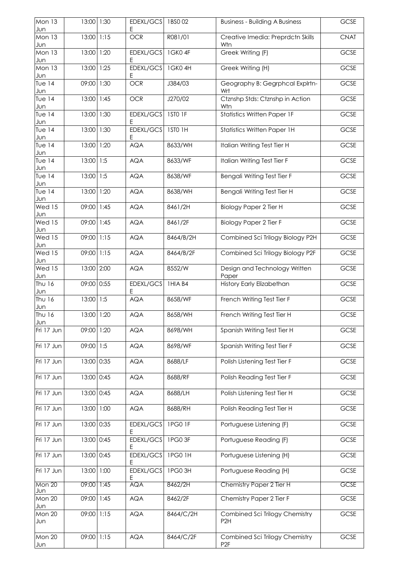| Mon 13<br>Jun        | 13:00      | 1:30 | EDEXL/GCS<br>Ε | 1BSO 02       | <b>Business - Building A Business</b>             | GCSE        |
|----------------------|------------|------|----------------|---------------|---------------------------------------------------|-------------|
| Mon 13<br>Jun        | 13:00      | 1:15 | OCR            | R081/01       | Creative Imedia: Preprdctn Skills<br>Wtn          | <b>CNAT</b> |
| Mon 13<br>Jun        | 13:00      | 1:20 | EDEXL/GCS<br>Ε | 1GK04F        | Greek Writing (F)                                 | GCSE        |
| Mon 13<br>Jun        | 13:00      | 1:25 | EDEXL/GCS<br>E | 1GK04H        | Greek Writing (H)                                 | GCSE        |
| Tue $14$<br>Jun      | 09:00      | 1:30 | OCR            | J384/03       | Geography B: Gegrphcal Explrtn-<br>Wrt            | GCSE        |
| Tue $14$<br>Jun      | 13:00      | 1:45 | OCR            | J270/02       | Ctznshp Stds: Ctznshp in Action<br>Wtn            | GCSE        |
| Tue $14$<br>Jun      | 13:00      | 1:30 | EDEXL/GCS<br>E | ISTO IF       | <b>Statistics Written Paper 1F</b>                | GCSE        |
| <b>Tue 14</b><br>Jun | 13:00      | 1:30 | EDEXL/GCS<br>Ε | 1STO 1H       | <b>Statistics Written Paper 1H</b>                | GCSE        |
| <b>Tue 14</b><br>Jun | 13:00      | 1:20 | <b>AQA</b>     | 8633/WH       | Italian Writing Test Tier H                       | GCSE        |
| Tue $14$<br>Jun      | 13:00      | 1:5  | <b>AQA</b>     | 8633/WF       | Italian Writing Test Tier F                       | GCSE        |
| Tue $14$<br>Jun      | 13:00      | 1:5  | <b>AQA</b>     | 8638/WF       | Bengali Writing Test Tier F                       | GCSE        |
| Tue $14$<br>Jun      | 13:00      | 1:20 | <b>AQA</b>     | 8638/WH       | Bengali Writing Test Tier H                       | GCSE        |
| Wed 15<br>Jun        | 09:00      | 1:45 | <b>AQA</b>     | 8461/2H       | <b>Biology Paper 2 Tier H</b>                     | GCSE        |
| Wed 15<br>Jun        | 09:00      | 1:45 | <b>AQA</b>     | 8461/2F       | <b>Biology Paper 2 Tier F</b>                     | GCSE        |
| Wed 15<br>Jun        | 09:00      | 1:15 | <b>AQA</b>     | 8464/B/2H     | Combined Sci Trilogy Biology P2H                  | GCSE        |
| Wed 15<br>Jun        | 09:00      | 1:15 | <b>AQA</b>     | 8464/B/2F     | Combined Sci Trilogy Biology P2F                  | GCSE        |
| Wed 15<br>Jun        | 13:00 2:00 |      | <b>AQA</b>     | 8552/W        | Design and Technology Written<br>Paper            | GCSE        |
| Thu 16<br>Jun        | 09:00 0:55 |      | EDEXL/GCS<br>Ε | 1HIA B4       | <b>History Early Elizabethan</b>                  | GCSE        |
| Thu 16<br>Jun        | 13:00 1:5  |      | <b>AQA</b>     | 8658/WF       | French Writing Test Tier F                        | GCSE        |
| Thu 16<br>Jun        | 13:00 1:20 |      | <b>AQA</b>     | 8658/WH       | French Writing Test Tier H                        | GCSE        |
| Fri 17 Jun           | 09:00      | 1:20 | <b>AQA</b>     | 8698/WH       | Spanish Writing Test Tier H                       | GCSE        |
| Fri 17 Jun           | 09:00 1:5  |      | <b>AQA</b>     | 8698/WF       | Spanish Writing Test Tier F                       | GCSE        |
| Fri 17 Jun           | 13:00      | 0:35 | <b>AQA</b>     | 8688/LF       | Polish Listening Test Tier F                      | GCSE        |
| Fri 17 Jun           | 13:00      | 0:45 | <b>AQA</b>     | 8688/RF       | Polish Reading Test Tier F                        | GCSE        |
| Fri 17 Jun           | 13:00 0:45 |      | <b>AQA</b>     | 8688/LH       | Polish Listening Test Tier H                      | GCSE        |
| Fri 17 Jun           | 13:00      | 1:00 | <b>AQA</b>     | 8688/RH       | Polish Reading Test Tier H                        | GCSE        |
| Fri 17 Jun           | 13:00      | 0:35 | EDEXL/GCS<br>E | IPG0 IF       | Portuguese Listening (F)                          | GCSE        |
| Fri 17 Jun           | 13:00      | 0:45 | EDEXL/GCS<br>E | 1PG03F        | Portuguese Reading (F)                            | GCSE        |
| Fri 17 Jun           | 13:00      | 0:45 | EDEXL/GCS<br>E | <b>1PG01H</b> | Portuguese Listening (H)                          | GCSE        |
| Fri 17 Jun           | 13:00      | 1:00 | EDEXL/GCS<br>Ε | IPG03H        | Portuguese Reading (H)                            | GCSE        |
| Mon 20<br>Jun        | 09:00      | 1:45 | <b>AQA</b>     | 8462/2H       | Chemistry Paper 2 Tier H                          | GCSE        |
| Mon 20<br>Jun        | 09:00      | 1:45 | <b>AQA</b>     | 8462/2F       | Chemistry Paper 2 Tier F                          | GCSE        |
| Mon 20<br>Jun        | 09:00 1:15 |      | <b>AQA</b>     | 8464/C/2H     | Combined Sci Trilogy Chemistry<br>P <sub>2H</sub> | GCSE        |
| Mon 20<br>Jun        | 09:00 1:15 |      | <b>AQA</b>     | 8464/C/2F     | Combined Sci Trilogy Chemistry<br>P <sub>2F</sub> | GCSE        |